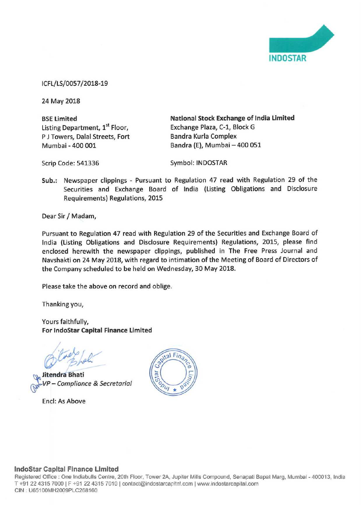

ICFL/LS/0057/2018-19

24 May 2018

Listing Department, 1<sup>st</sup> Floor, Exchange Plaza, C-1, Block G<br>
P J Towers. Dalal Streets. Fort Bandra Kurla Complex P J Towers, Dalal Streets, Fort Mumbai -400 001 Bandra (E), Mumbai—400 051

BSE Limited **National Stock Exchange of India Limited** 

Scrip Code: 541336 Symbol: INDOSTAR

Sub.: Newspaper clippings — Pursuant to Regulation <sup>47</sup> read with Regulation <sup>29</sup> of the Securities and Exchange Board of India (Listing Obligations and Disclosure Requirements) Regulations, 2015

Dear Sir / Madam,

Pursuant to Regulation <sup>47</sup> read with Regulation <sup>29</sup> of the Securities and Exchange Board of India (Listing Obligations and Disclosure Requirements) Regulations, 2015, please find enclosed herewith the newspaper clippings, published in The Free Press Journal and Navshakti on <sup>24</sup> May 2018, with regard to intimation of the Meeting of Board of Directors of the Company scheduled to be held on Wednesday, 30 May 2018.

Please take the above on record and oblige,

Thanking you,

Yours faithfully, For Indostar Capital Finance Limited

**Walitendra Bhati**<br>W<sup>ali</sup>VP – Complian  $\vee$ Compliance & Secretarial

Encl: As Above



## lndoStar Capital Finance Limited

Registered Office : One Indiabulls Centre, 20th Floor, Tower 2A, Jupiter Mills Compound, Senapati Bapat Marg, Mumbal - 400013, India T +91 22 4315 7000 | F +91 22 4315 7010 | contact@indostarcapital.com | www.indostarcapital.com CIN : U65100MH2009PLC268160